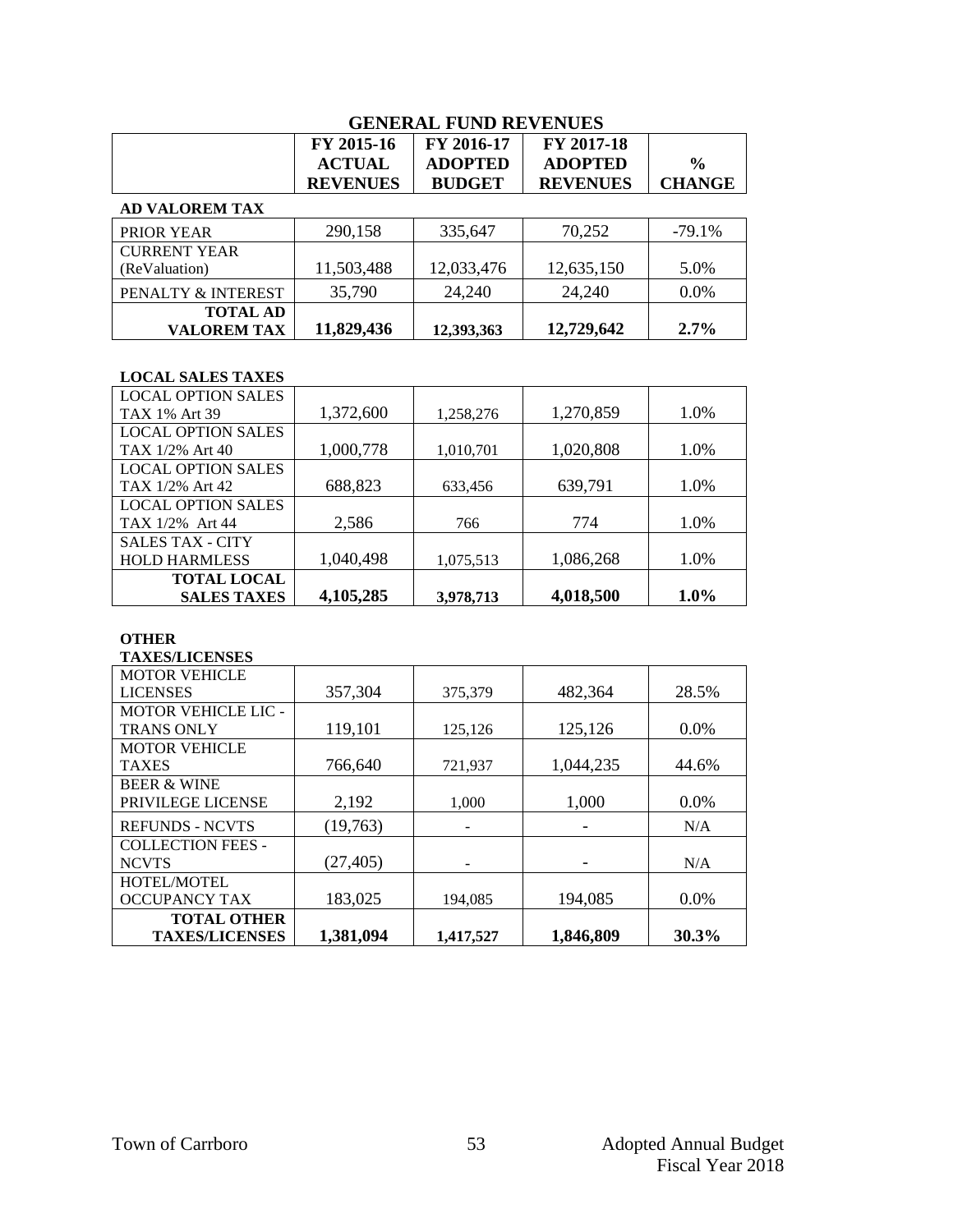|                                       | FY 2015-16<br><b>ACTUAL</b><br><b>REVENUES</b> | FY 2016-17<br><b>ADOPTED</b><br><b>BUDGET</b> | FY 2017-18<br><b>ADOPTED</b><br><b>REVENUES</b> | $\frac{6}{6}$<br><b>CHANGE</b> |
|---------------------------------------|------------------------------------------------|-----------------------------------------------|-------------------------------------------------|--------------------------------|
| <b>AD VALOREM TAX</b>                 |                                                |                                               |                                                 |                                |
| PRIOR YEAR                            | 290,158                                        | 335,647                                       | 70,252                                          | $-79.1%$                       |
| <b>CURRENT YEAR</b><br>(ReValuation)  | 11,503,488                                     | 12,033,476                                    | 12,635,150                                      | 5.0%                           |
| PENALTY & INTEREST                    | 35,790                                         | 24,240                                        | 24,240                                          | 0.0%                           |
| <b>TOTAL AD</b><br><b>VALOREM TAX</b> | 11,829,436                                     | 12,393,363                                    | 12,729,642                                      | 2.7%                           |

#### **LOCAL SALES TAXES**

| <b>LOCAL OPTION SALES</b> |           |           |           |         |
|---------------------------|-----------|-----------|-----------|---------|
| TAX 1% Art 39             | 1,372,600 | 1,258,276 | 1,270,859 | 1.0%    |
| <b>LOCAL OPTION SALES</b> |           |           |           |         |
| TAX 1/2% Art 40           | 1,000,778 | 1,010,701 | 1,020,808 | 1.0%    |
| <b>LOCAL OPTION SALES</b> |           |           |           |         |
| TAX 1/2% Art 42           | 688,823   | 633,456   | 639,791   | 1.0%    |
| <b>LOCAL OPTION SALES</b> |           |           |           |         |
| TAX 1/2% Art 44           | 2,586     | 766       | 774       | 1.0%    |
| <b>SALES TAX - CITY</b>   |           |           |           |         |
| <b>HOLD HARMLESS</b>      | 1,040,498 | 1,075,513 | 1,086,268 | 1.0%    |
| <b>TOTAL LOCAL</b>        |           |           |           |         |
| <b>SALES TAXES</b>        | 4,105,285 | 3,978,713 | 4,018,500 | $1.0\%$ |

#### **OTHER**

**TAXES/LICENSES**

| <b>MOTOR VEHICLE</b>       |           |           |           |         |
|----------------------------|-----------|-----------|-----------|---------|
| <b>LICENSES</b>            | 357,304   | 375,379   | 482,364   | 28.5%   |
| <b>MOTOR VEHICLE LIC -</b> |           |           |           |         |
| <b>TRANS ONLY</b>          | 119,101   | 125,126   | 125,126   | $0.0\%$ |
| <b>MOTOR VEHICLE</b>       |           |           |           |         |
| <b>TAXES</b>               | 766,640   | 721,937   | 1,044,235 | 44.6%   |
| <b>BEER &amp; WINE</b>     |           |           |           |         |
| PRIVILEGE LICENSE          | 2,192     | 1,000     | 1,000     | 0.0%    |
| <b>REFUNDS - NCVTS</b>     | (19,763)  |           |           | N/A     |
| <b>COLLECTION FEES -</b>   |           |           |           |         |
| <b>NCVTS</b>               | (27, 405) |           |           | N/A     |
| <b>HOTEL/MOTEL</b>         |           |           |           |         |
| <b>OCCUPANCY TAX</b>       | 183,025   | 194.085   | 194,085   | $0.0\%$ |
| <b>TOTAL OTHER</b>         |           |           |           |         |
| <b>TAXES/LICENSES</b>      | 1,381,094 | 1,417,527 | 1,846,809 | 30.3%   |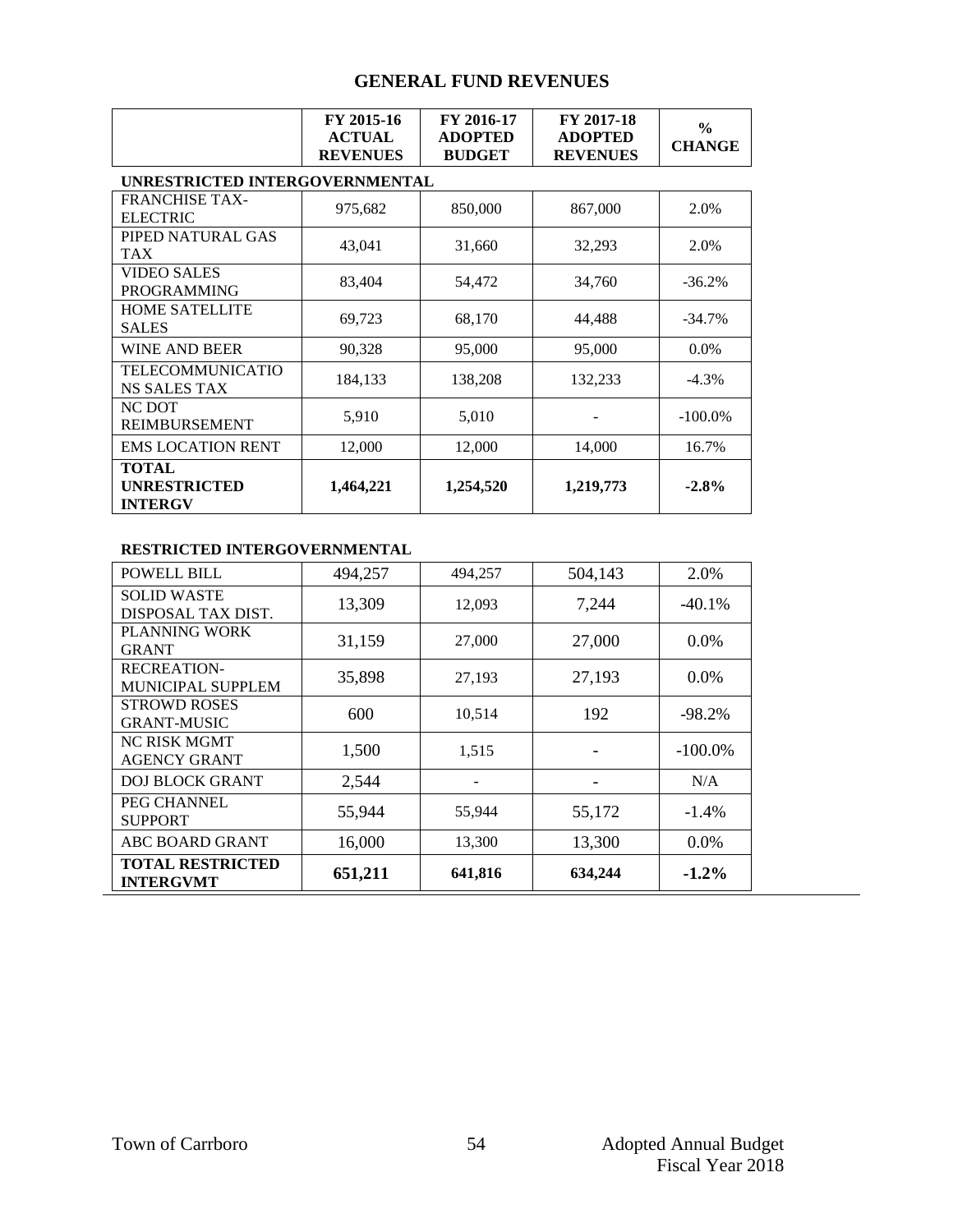|                                                       | FY 2015-16<br><b>ACTUAL</b><br><b>REVENUES</b> | FY 2016-17<br><b>ADOPTED</b><br><b>BUDGET</b> | FY 2017-18<br><b>ADOPTED</b><br><b>REVENUES</b> | $\%$<br><b>CHANGE</b> |  |  |
|-------------------------------------------------------|------------------------------------------------|-----------------------------------------------|-------------------------------------------------|-----------------------|--|--|
|                                                       | UNRESTRICTED INTERGOVERNMENTAL                 |                                               |                                                 |                       |  |  |
| <b>FRANCHISE TAX-</b><br><b>ELECTRIC</b>              | 975,682                                        | 850,000                                       | 867,000                                         | 2.0%                  |  |  |
| PIPED NATURAL GAS<br><b>TAX</b>                       | 43,041                                         | 31,660                                        | 32,293                                          | 2.0%                  |  |  |
| <b>VIDEO SALES</b><br><b>PROGRAMMING</b>              | 83,404                                         | 54,472                                        | 34,760                                          | $-36.2%$              |  |  |
| <b>HOME SATELLITE</b><br><b>SALES</b>                 | 69,723                                         | 68,170                                        | 44,488                                          | $-34.7\%$             |  |  |
| <b>WINE AND BEER</b>                                  | 90,328                                         | 95,000                                        | 95,000                                          | $0.0\%$               |  |  |
| TELECOMMUNICATIO<br><b>NS SALES TAX</b>               | 184,133                                        | 138,208                                       | 132,233                                         | $-4.3\%$              |  |  |
| NC DOT<br><b>REIMBURSEMENT</b>                        | 5,910                                          | 5,010                                         |                                                 | $-100.0\%$            |  |  |
| <b>EMS LOCATION RENT</b>                              | 12,000                                         | 12,000                                        | 14,000                                          | 16.7%                 |  |  |
| <b>TOTAL</b><br><b>UNRESTRICTED</b><br><b>INTERGV</b> | 1,464,221                                      | 1,254,520                                     | 1,219,773                                       | $-2.8%$               |  |  |

#### **RESTRICTED INTERGOVERNMENTAL**

| <b>POWELL BILL</b>                             | 494,257 | 494,257 | 504,143 | 2.0%       |
|------------------------------------------------|---------|---------|---------|------------|
| <b>SOLID WASTE</b><br>DISPOSAL TAX DIST.       | 13,309  | 12,093  | 7,244   | $-40.1\%$  |
| PLANNING WORK<br><b>GRANT</b>                  | 31,159  | 27,000  | 27,000  | $0.0\%$    |
| <b>RECREATION-</b><br><b>MUNICIPAL SUPPLEM</b> | 35,898  | 27,193  | 27,193  | $0.0\%$    |
| <b>STROWD ROSES</b><br><b>GRANT-MUSIC</b>      | 600     | 10,514  | 192     | $-98.2\%$  |
| <b>NC RISK MGMT</b><br><b>AGENCY GRANT</b>     | 1,500   | 1,515   |         | $-100.0\%$ |
| <b>DOJ BLOCK GRANT</b>                         | 2,544   |         |         | N/A        |
| PEG CHANNEL<br><b>SUPPORT</b>                  | 55,944  | 55,944  | 55,172  | $-1.4\%$   |
| <b>ABC BOARD GRANT</b>                         | 16,000  | 13,300  | 13,300  | $0.0\%$    |
| <b>TOTAL RESTRICTED</b><br><b>INTERGVMT</b>    | 651,211 | 641,816 | 634,244 | $-1.2\%$   |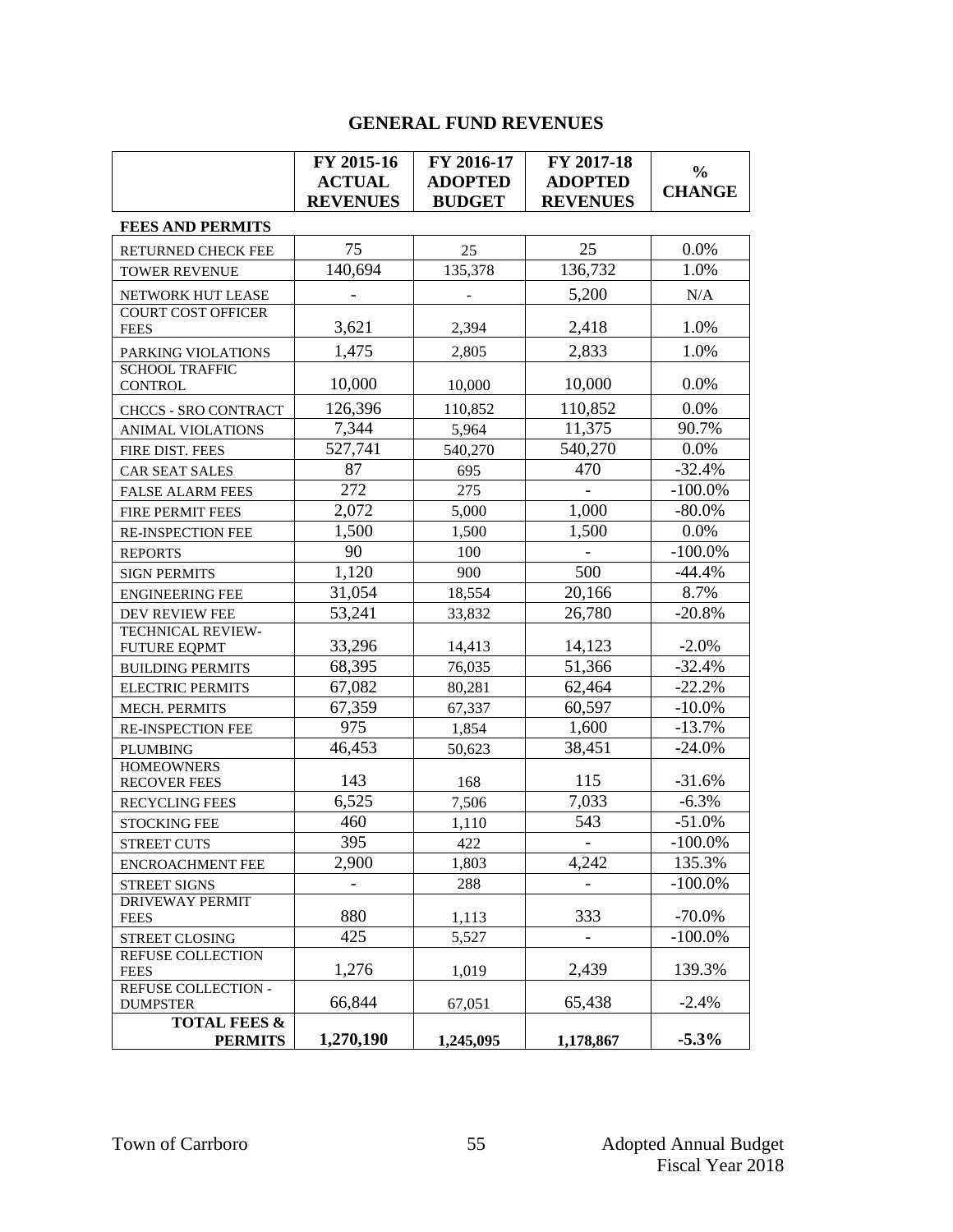|                                           | FY 2015-16                       | FY 2016-17                      | FY 2017-18                        | $\frac{0}{0}$          |
|-------------------------------------------|----------------------------------|---------------------------------|-----------------------------------|------------------------|
|                                           | <b>ACTUAL</b><br><b>REVENUES</b> | <b>ADOPTED</b><br><b>BUDGET</b> | <b>ADOPTED</b><br><b>REVENUES</b> | <b>CHANGE</b>          |
| <b>FEES AND PERMITS</b>                   |                                  |                                 |                                   |                        |
|                                           |                                  |                                 |                                   |                        |
| RETURNED CHECK FEE                        | 75                               | 25                              | 25                                | 0.0%                   |
| <b>TOWER REVENUE</b>                      | 140,694                          | 135,378                         | 136,732                           | 1.0%                   |
| NETWORK HUT LEASE                         |                                  |                                 | 5,200                             | N/A                    |
| <b>COURT COST OFFICER</b><br><b>FEES</b>  | 3,621                            | 2,394                           | 2,418                             | 1.0%                   |
| PARKING VIOLATIONS                        | 1,475                            | 2,805                           | 2,833                             | 1.0%                   |
| <b>SCHOOL TRAFFIC</b><br><b>CONTROL</b>   | 10,000                           | 10,000                          | 10,000                            | 0.0%                   |
| CHCCS - SRO CONTRACT                      | 126,396                          | 110,852                         | 110,852                           | 0.0%                   |
| ANIMAL VIOLATIONS                         | 7,344                            | 5,964                           | 11,375                            | 90.7%                  |
| FIRE DIST. FEES                           | 527,741                          | 540,270                         | 540,270                           | 0.0%                   |
| <b>CAR SEAT SALES</b>                     | 87                               | 695                             | 470                               | $-32.4%$               |
| <b>FALSE ALARM FEES</b>                   | 272                              | 275                             | $\blacksquare$                    | $-100.0\%$             |
| FIRE PERMIT FEES                          | 2,072                            | 5,000                           | 1,000                             | $-80.0\%$              |
| RE-INSPECTION FEE                         | 1,500                            | 1,500                           | 1,500                             | 0.0%                   |
| <b>REPORTS</b>                            | 90                               | 100                             | $\omega$                          | $-100.0\%$             |
| <b>SIGN PERMITS</b>                       | 1,120                            | 900                             | 500                               | $-44.4%$               |
| <b>ENGINEERING FEE</b>                    | 31,054                           | 18,554                          | 20,166                            | 8.7%                   |
| DEV REVIEW FEE                            | 53,241                           | 33,832                          | 26,780                            | $-20.8%$               |
| TECHNICAL REVIEW-                         |                                  |                                 |                                   |                        |
| <b>FUTURE EQPMT</b>                       | 33,296                           | 14,413                          | 14,123                            | $-2.0%$                |
| <b>BUILDING PERMITS</b>                   | 68,395                           | 76,035                          | 51,366                            | $-32.4%$               |
| <b>ELECTRIC PERMITS</b>                   | 67,082                           | 80,281                          | 62,464                            | $-22.2%$               |
| MECH. PERMITS                             | 67,359                           | 67,337                          | 60,597                            | $-10.0\%$              |
| <b>RE-INSPECTION FEE</b>                  | 975                              | 1,854                           | 1,600                             | $-13.7%$               |
| <b>PLUMBING</b>                           | 46,453                           | 50,623                          | 38,451                            | $-24.0%$               |
| <b>HOMEOWNERS</b><br><b>RECOVER FEES</b>  | 143                              | 168                             | 115                               | $-31.6%$               |
| RECYCLING FEES                            | 6,525                            | 7,506                           | 7,033                             | $-6.3%$                |
| <b>STOCKING FEE</b>                       | 460                              | 1,110                           | 543                               | $-51.0%$               |
| <b>STREET CUTS</b>                        | 395                              | 422                             | $\overline{\phantom{a}}$          | $-100.0\%$             |
| <b>ENCROACHMENT FEE</b>                   | 2,900                            | 1,803                           | 4,242                             | 135.3%                 |
| <b>STREET SIGNS</b>                       |                                  | 288                             |                                   | $-100.0\%$             |
| <b>DRIVEWAY PERMIT</b>                    |                                  |                                 |                                   |                        |
| <b>FEES</b>                               | 880                              | 1,113                           | 333                               | $-70.0%$<br>$-100.0\%$ |
| STREET CLOSING<br>REFUSE COLLECTION       | 425                              | 5,527                           |                                   |                        |
| <b>FEES</b>                               | 1,276                            | 1,019                           | 2,439                             | 139.3%                 |
| REFUSE COLLECTION -                       |                                  |                                 |                                   |                        |
| <b>DUMPSTER</b>                           | 66,844                           | 67,051                          | 65,438                            | $-2.4%$                |
| <b>TOTAL FEES &amp;</b><br><b>PERMITS</b> | 1,270,190                        | 1,245,095                       | 1,178,867                         | $-5.3%$                |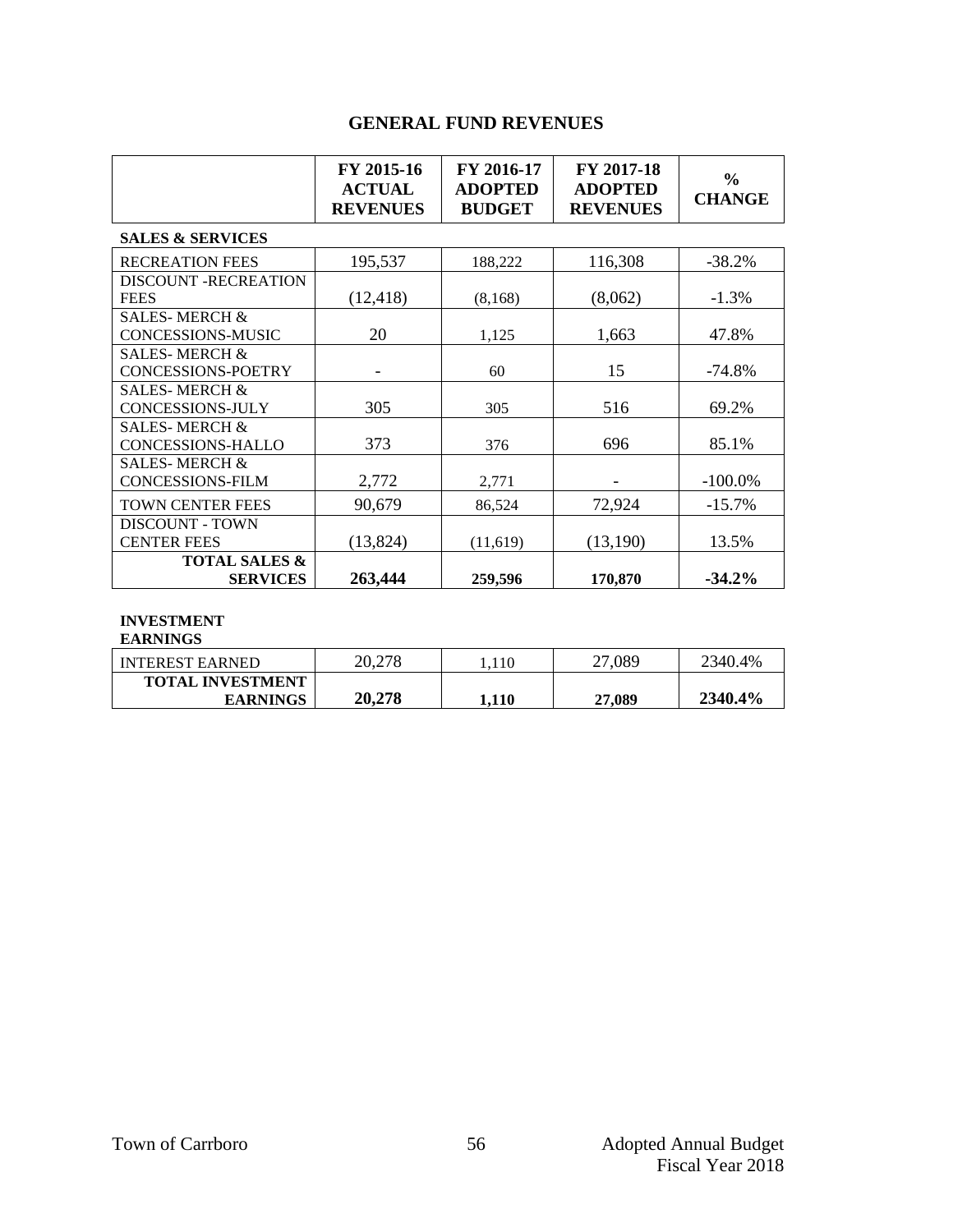|                                                       | FY 2015-16<br><b>ACTUAL</b><br><b>REVENUES</b> | FY 2016-17<br><b>ADOPTED</b><br><b>BUDGET</b> | FY 2017-18<br><b>ADOPTED</b><br><b>REVENUES</b> | $\frac{0}{0}$<br><b>CHANGE</b> |
|-------------------------------------------------------|------------------------------------------------|-----------------------------------------------|-------------------------------------------------|--------------------------------|
| <b>SALES &amp; SERVICES</b>                           |                                                |                                               |                                                 |                                |
| <b>RECREATION FEES</b>                                | 195,537                                        | 188,222                                       | 116,308                                         | $-38.2%$                       |
| <b>DISCOUNT -RECREATION</b><br><b>FEES</b>            | (12, 418)                                      | (8, 168)                                      | (8,062)                                         | $-1.3%$                        |
| <b>SALES-MERCH &amp;</b><br>CONCESSIONS-MUSIC         | 20                                             | 1,125                                         | 1,663                                           | 47.8%                          |
| <b>SALES-MERCH &amp;</b><br><b>CONCESSIONS-POETRY</b> |                                                | 60                                            | 15                                              | -74.8%                         |
| <b>SALES-MERCH &amp;</b><br><b>CONCESSIONS-JULY</b>   | 305                                            | 305                                           | 516                                             | 69.2%                          |
| <b>SALES-MERCH &amp;</b><br><b>CONCESSIONS-HALLO</b>  | 373                                            | 376                                           | 696                                             | 85.1%                          |
| <b>SALES-MERCH &amp;</b><br><b>CONCESSIONS-FILM</b>   | 2,772                                          | 2,771                                         |                                                 | $-100.0\%$                     |
| <b>TOWN CENTER FEES</b>                               | 90,679                                         | 86,524                                        | 72,924                                          | $-15.7%$                       |
| <b>DISCOUNT - TOWN</b><br><b>CENTER FEES</b>          | (13, 824)                                      | (11,619)                                      | (13,190)                                        | 13.5%                          |
| <b>TOTAL SALES &amp;</b><br><b>SERVICES</b>           | 263,444                                        | 259,596                                       | 170,870                                         | $-34.2\%$                      |

#### **INVESTMENT**

| <b>EARNINGS</b>         |        |       |        |         |
|-------------------------|--------|-------|--------|---------|
| <b>INTEREST EARNED</b>  | 20,278 | 110   | 27,089 | 2340.4% |
| <b>TOTAL INVESTMENT</b> |        |       |        |         |
| <b>EARNINGS</b>         | 20,278 | 1.110 | 27,089 | 2340.4% |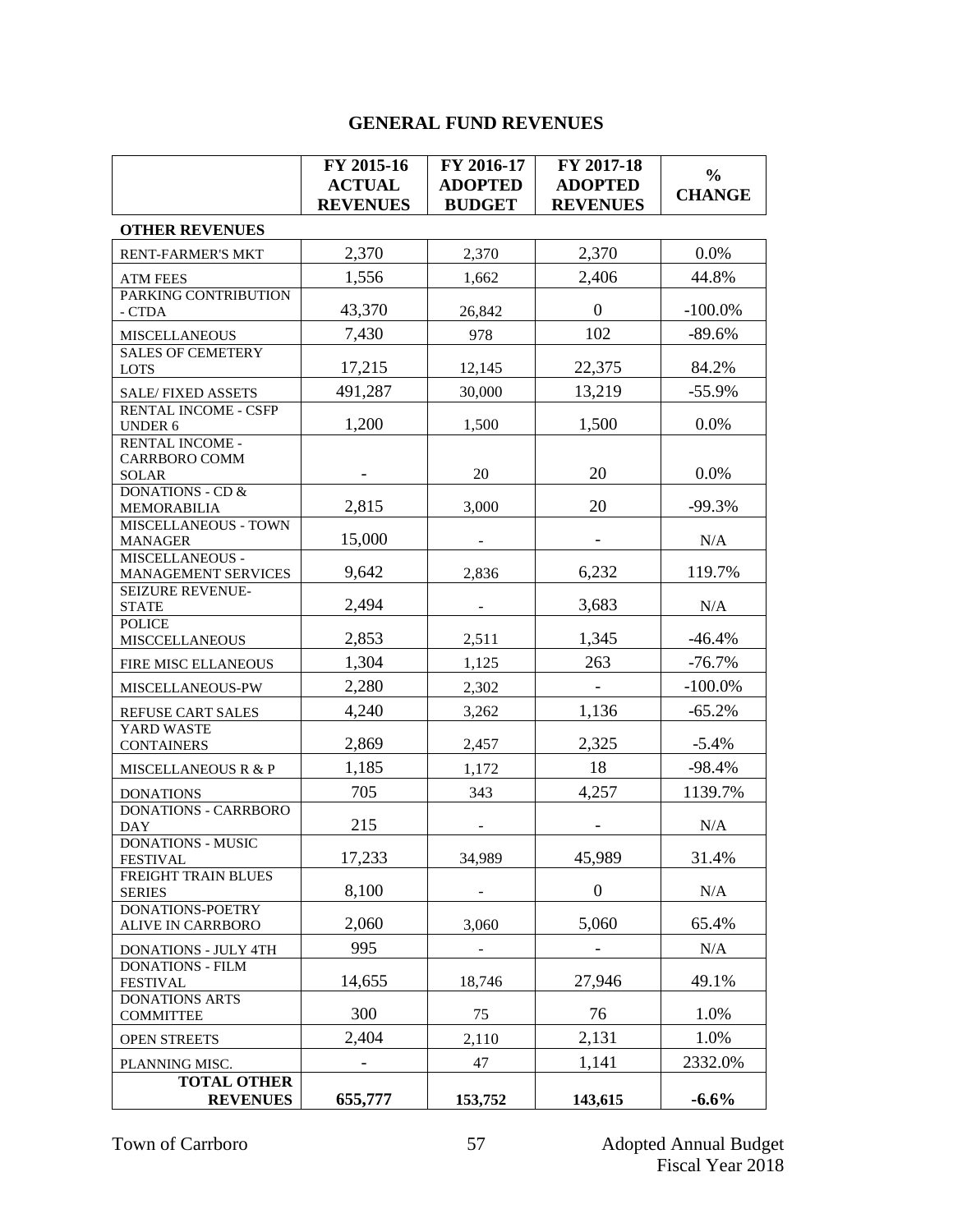|                                                  | FY 2015-16               | FY 2016-17     | FY 2017-18               | $\frac{0}{0}$ |
|--------------------------------------------------|--------------------------|----------------|--------------------------|---------------|
|                                                  | <b>ACTUAL</b>            | <b>ADOPTED</b> | <b>ADOPTED</b>           | <b>CHANGE</b> |
|                                                  | <b>REVENUES</b>          | <b>BUDGET</b>  | <b>REVENUES</b>          |               |
| <b>OTHER REVENUES</b>                            |                          |                |                          |               |
| <b>RENT-FARMER'S MKT</b>                         | 2,370                    | 2,370          | 2,370                    | $0.0\%$       |
| <b>ATM FEES</b>                                  | 1,556                    | 1,662          | 2,406                    | 44.8%         |
| PARKING CONTRIBUTION                             |                          |                |                          |               |
| - CTDA                                           | 43,370                   | 26,842         | $\boldsymbol{0}$         | $-100.0\%$    |
| <b>MISCELLANEOUS</b>                             | 7,430                    | 978            | 102                      | $-89.6%$      |
| <b>SALES OF CEMETERY</b><br><b>LOTS</b>          | 17,215                   | 12,145         | 22,375                   | 84.2%         |
|                                                  | 491,287                  | 30,000         | 13,219                   | $-55.9%$      |
| <b>SALE/FIXED ASSETS</b><br>RENTAL INCOME - CSFP |                          |                |                          |               |
| UNDER 6                                          | 1,200                    | 1,500          | 1,500                    | 0.0%          |
| RENTAL INCOME -                                  |                          |                |                          |               |
| <b>CARRBORO COMM</b>                             |                          |                |                          |               |
| <b>SOLAR</b><br><b>DONATIONS - CD &amp;</b>      |                          | 20             | 20                       | 0.0%          |
| <b>MEMORABILIA</b>                               | 2,815                    | 3,000          | 20                       | $-99.3%$      |
| MISCELLANEOUS - TOWN                             |                          |                |                          |               |
| <b>MANAGER</b>                                   | 15,000                   |                | $\overline{\phantom{a}}$ | N/A           |
| MISCELLANEOUS -<br>MANAGEMENT SERVICES           | 9,642                    | 2,836          | 6,232                    | 119.7%        |
| SEIZURE REVENUE-                                 |                          |                |                          |               |
| <b>STATE</b>                                     | 2,494                    |                | 3,683                    | N/A           |
| <b>POLICE</b>                                    |                          |                |                          |               |
| <b>MISCCELLANEOUS</b>                            | 2,853                    | 2,511          | 1,345                    | $-46.4%$      |
| FIRE MISC ELLANEOUS                              | 1,304                    | 1,125          | 263                      | $-76.7%$      |
| MISCELLANEOUS-PW                                 | 2,280                    | 2,302          | $\overline{\phantom{0}}$ | $-100.0\%$    |
| REFUSE CART SALES                                | 4,240                    | 3,262          | 1,136                    | $-65.2%$      |
| YARD WASTE                                       |                          |                |                          |               |
| <b>CONTAINERS</b>                                | 2,869                    | 2,457          | 2,325                    | $-5.4%$       |
| <b>MISCELLANEOUS R &amp; P</b>                   | 1,185                    | 1,172          | 18                       | $-98.4%$      |
| <b>DONATIONS</b>                                 | 705                      | 343            | 4,257                    | 1139.7%       |
| DONATIONS - CARRBORO<br><b>DAY</b>               | 215                      |                |                          | N/A           |
| <b>DONATIONS - MUSIC</b>                         |                          |                |                          |               |
| <b>FESTIVAL</b>                                  | 17,233                   | 34,989         | 45,989                   | 31.4%         |
| FREIGHT TRAIN BLUES<br><b>SERIES</b>             | 8,100                    |                | $\boldsymbol{0}$         | N/A           |
| <b>DONATIONS-POETRY</b>                          |                          |                |                          |               |
| ALIVE IN CARRBORO                                | 2,060                    | 3,060          | 5,060                    | 65.4%         |
| <b>DONATIONS - JULY 4TH</b>                      | 995                      |                |                          | $\rm N/A$     |
| <b>DONATIONS - FILM</b>                          |                          |                |                          |               |
| <b>FESTIVAL</b>                                  | 14,655                   | 18,746         | 27,946                   | 49.1%         |
| <b>DONATIONS ARTS</b><br><b>COMMITTEE</b>        | 300                      | 75             | 76                       | 1.0%          |
|                                                  | 2,404                    |                | 2,131                    | 1.0%          |
| <b>OPEN STREETS</b>                              |                          | 2,110          |                          |               |
| PLANNING MISC.                                   | $\overline{\phantom{0}}$ | 47             | 1,141                    | 2332.0%       |
| <b>TOTAL OTHER</b><br><b>REVENUES</b>            | 655,777                  | 153,752        | 143,615                  | $-6.6%$       |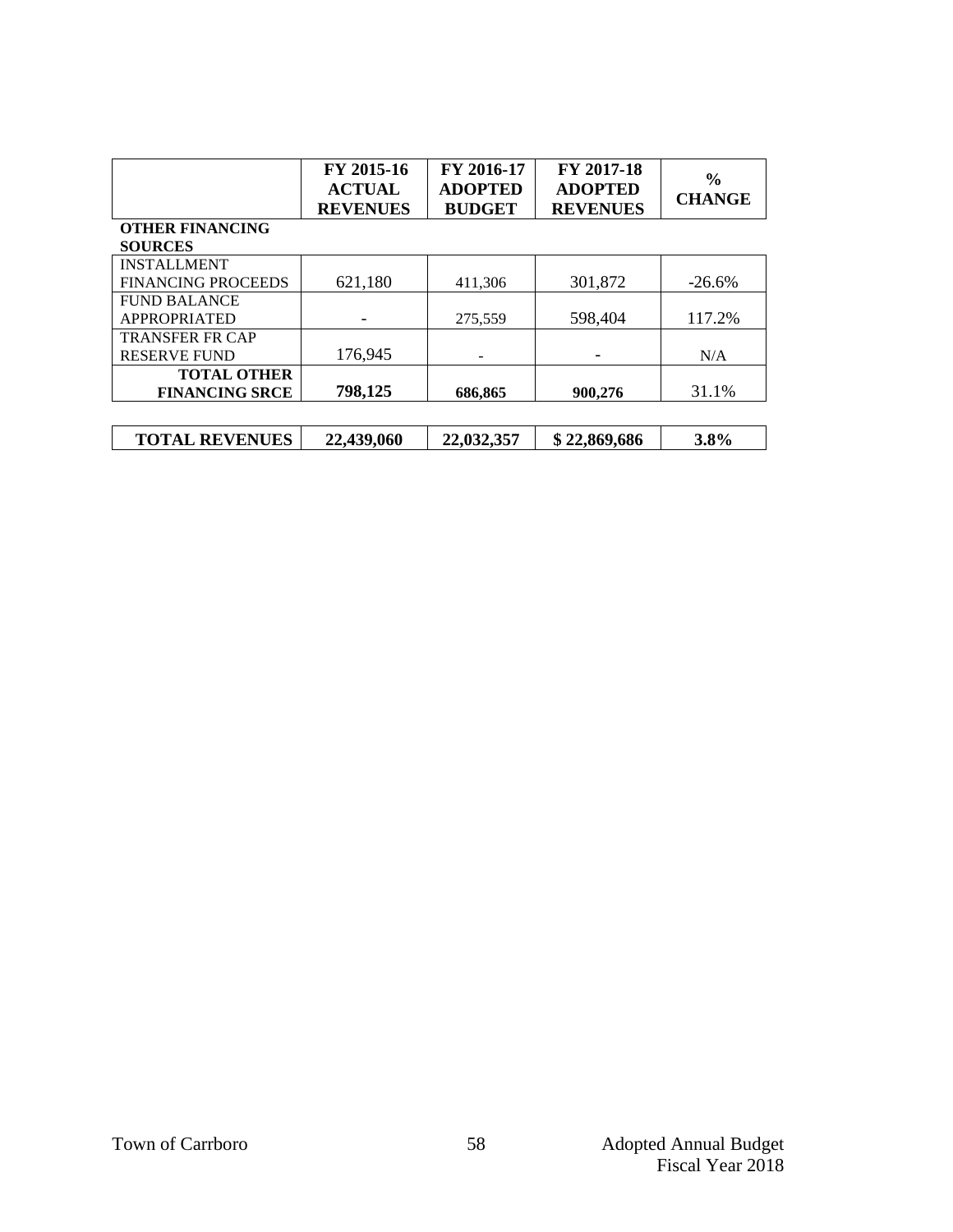|                           | FY 2015-16<br><b>ACTUAL</b><br><b>REVENUES</b> | FY 2016-17<br><b>ADOPTED</b><br><b>BUDGET</b> | FY 2017-18<br><b>ADOPTED</b><br><b>REVENUES</b> | $\frac{0}{0}$<br><b>CHANGE</b> |
|---------------------------|------------------------------------------------|-----------------------------------------------|-------------------------------------------------|--------------------------------|
| <b>OTHER FINANCING</b>    |                                                |                                               |                                                 |                                |
| <b>SOURCES</b>            |                                                |                                               |                                                 |                                |
| <b>INSTALLMENT</b>        |                                                |                                               |                                                 |                                |
| <b>FINANCING PROCEEDS</b> | 621,180                                        | 411,306                                       | 301,872                                         | $-26.6\%$                      |
| <b>FUND BALANCE</b>       |                                                |                                               |                                                 |                                |
| APPROPRIATED              |                                                | 275,559                                       | 598,404                                         | 117.2%                         |
| <b>TRANSFER FR CAP</b>    |                                                |                                               |                                                 |                                |
| <b>RESERVE FUND</b>       | 176,945                                        |                                               |                                                 | N/A                            |
| <b>TOTAL OTHER</b>        |                                                |                                               |                                                 |                                |
| <b>FINANCING SRCE</b>     | 798,125                                        | 686,865                                       | 900,276                                         | 31.1%                          |
|                           |                                                |                                               |                                                 |                                |
| <b>TOTAL REVENUES</b>     | 22,439,060                                     | 22,032,357                                    | \$22,869,686                                    | 3.8%                           |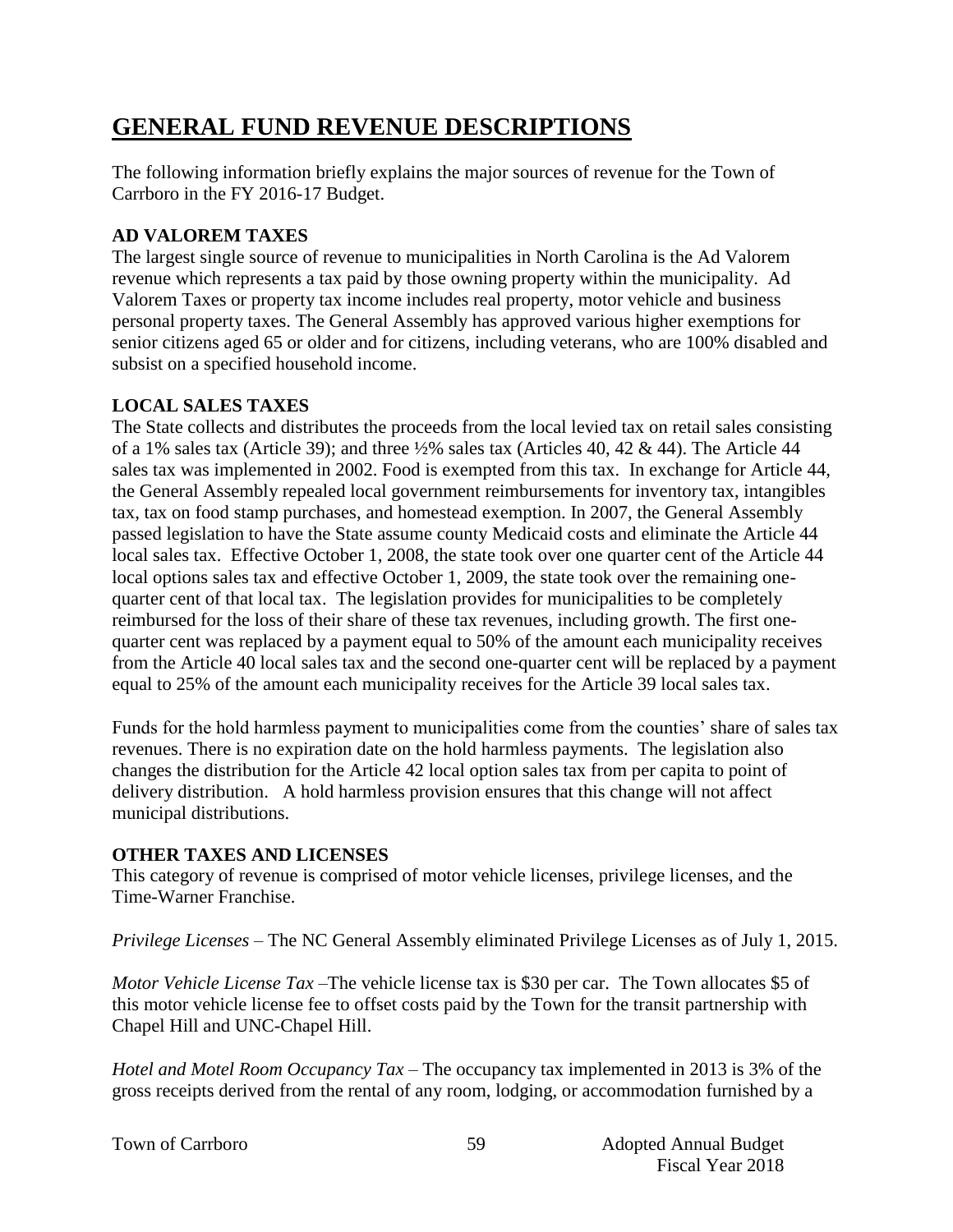# **GENERAL FUND REVENUE DESCRIPTIONS**

The following information briefly explains the major sources of revenue for the Town of Carrboro in the FY 2016-17 Budget.

### **AD VALOREM TAXES**

The largest single source of revenue to municipalities in North Carolina is the Ad Valorem revenue which represents a tax paid by those owning property within the municipality. Ad Valorem Taxes or property tax income includes real property, motor vehicle and business personal property taxes. The General Assembly has approved various higher exemptions for senior citizens aged 65 or older and for citizens, including veterans, who are 100% disabled and subsist on a specified household income.

#### **LOCAL SALES TAXES**

The State collects and distributes the proceeds from the local levied tax on retail sales consisting of a 1% sales tax (Article 39); and three  $\frac{1}{2}\%$  sales tax (Articles 40, 42 & 44). The Article 44 sales tax was implemented in 2002. Food is exempted from this tax. In exchange for Article 44, the General Assembly repealed local government reimbursements for inventory tax, intangibles tax, tax on food stamp purchases, and homestead exemption. In 2007, the General Assembly passed legislation to have the State assume county Medicaid costs and eliminate the Article 44 local sales tax. Effective October 1, 2008, the state took over one quarter cent of the Article 44 local options sales tax and effective October 1, 2009, the state took over the remaining onequarter cent of that local tax. The legislation provides for municipalities to be completely reimbursed for the loss of their share of these tax revenues, including growth. The first onequarter cent was replaced by a payment equal to 50% of the amount each municipality receives from the Article 40 local sales tax and the second one-quarter cent will be replaced by a payment equal to 25% of the amount each municipality receives for the Article 39 local sales tax.

Funds for the hold harmless payment to municipalities come from the counties' share of sales tax revenues. There is no expiration date on the hold harmless payments. The legislation also changes the distribution for the Article 42 local option sales tax from per capita to point of delivery distribution. A hold harmless provision ensures that this change will not affect municipal distributions.

#### **OTHER TAXES AND LICENSES**

This category of revenue is comprised of motor vehicle licenses, privilege licenses, and the Time-Warner Franchise.

*Privilege Licenses* – The NC General Assembly eliminated Privilege Licenses as of July 1, 2015.

*Motor Vehicle License Tax* –The vehicle license tax is \$30 per car. The Town allocates \$5 of this motor vehicle license fee to offset costs paid by the Town for the transit partnership with Chapel Hill and UNC-Chapel Hill.

*Hotel and Motel Room Occupancy Tax* – The occupancy tax implemented in 2013 is 3% of the gross receipts derived from the rental of any room, lodging, or accommodation furnished by a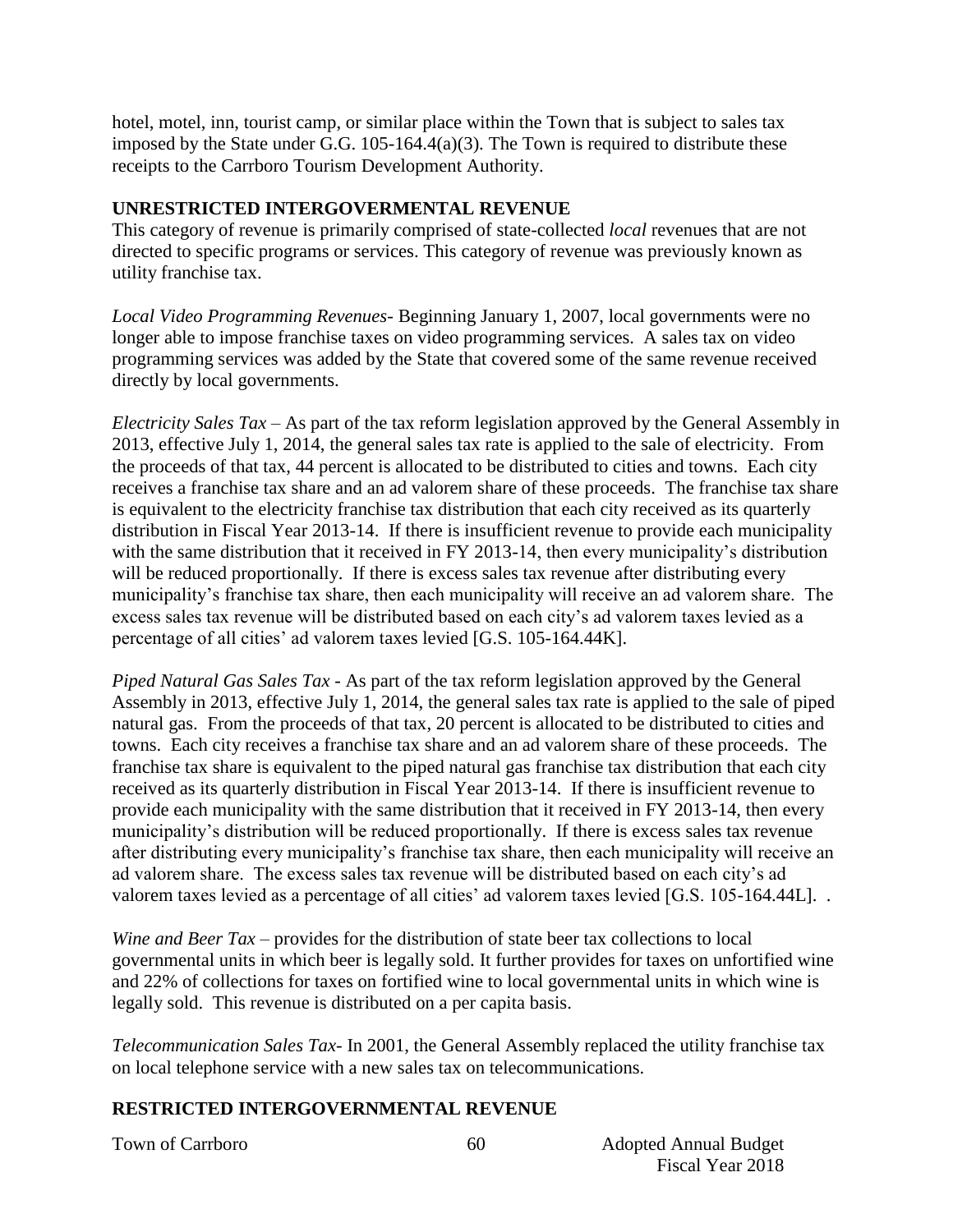hotel, motel, inn, tourist camp, or similar place within the Town that is subject to sales tax imposed by the State under G.G. 105-164.4(a)(3). The Town is required to distribute these receipts to the Carrboro Tourism Development Authority.

#### **UNRESTRICTED INTERGOVERMENTAL REVENUE**

This category of revenue is primarily comprised of state-collected *local* revenues that are not directed to specific programs or services. This category of revenue was previously known as utility franchise tax.

*Local Video Programming Revenues*- Beginning January 1, 2007, local governments were no longer able to impose franchise taxes on video programming services. A sales tax on video programming services was added by the State that covered some of the same revenue received directly by local governments.

*Electricity Sales Tax* – As part of the tax reform legislation approved by the General Assembly in 2013, effective July 1, 2014, the general sales tax rate is applied to the sale of electricity. From the proceeds of that tax, 44 percent is allocated to be distributed to cities and towns. Each city receives a franchise tax share and an ad valorem share of these proceeds. The franchise tax share is equivalent to the electricity franchise tax distribution that each city received as its quarterly distribution in Fiscal Year 2013-14. If there is insufficient revenue to provide each municipality with the same distribution that it received in FY 2013-14, then every municipality's distribution will be reduced proportionally. If there is excess sales tax revenue after distributing every municipality's franchise tax share, then each municipality will receive an ad valorem share. The excess sales tax revenue will be distributed based on each city's ad valorem taxes levied as a percentage of all cities' ad valorem taxes levied [G.S. 105-164.44K].

*Piped Natural Gas Sales Tax* - As part of the tax reform legislation approved by the General Assembly in 2013, effective July 1, 2014, the general sales tax rate is applied to the sale of piped natural gas. From the proceeds of that tax, 20 percent is allocated to be distributed to cities and towns. Each city receives a franchise tax share and an ad valorem share of these proceeds. The franchise tax share is equivalent to the piped natural gas franchise tax distribution that each city received as its quarterly distribution in Fiscal Year 2013-14. If there is insufficient revenue to provide each municipality with the same distribution that it received in FY 2013-14, then every municipality's distribution will be reduced proportionally. If there is excess sales tax revenue after distributing every municipality's franchise tax share, then each municipality will receive an ad valorem share. The excess sales tax revenue will be distributed based on each city's ad valorem taxes levied as a percentage of all cities' ad valorem taxes levied [G.S. 105-164.44L]. .

*Wine and Beer Tax* – provides for the distribution of state beer tax collections to local governmental units in which beer is legally sold. It further provides for taxes on unfortified wine and 22% of collections for taxes on fortified wine to local governmental units in which wine is legally sold. This revenue is distributed on a per capita basis.

*Telecommunication Sales Tax*- In 2001, the General Assembly replaced the utility franchise tax on local telephone service with a new sales tax on telecommunications.

### **RESTRICTED INTERGOVERNMENTAL REVENUE**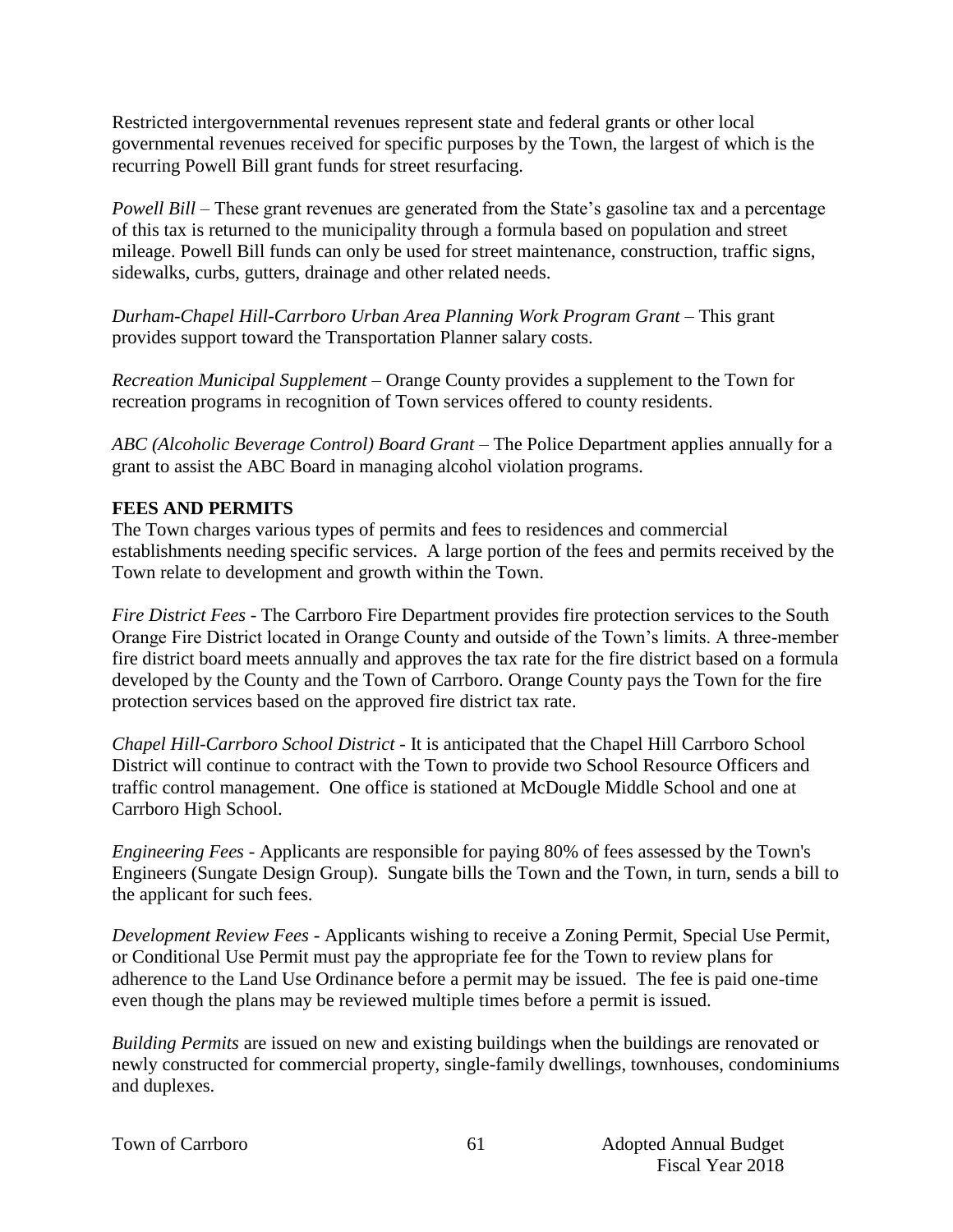Restricted intergovernmental revenues represent state and federal grants or other local governmental revenues received for specific purposes by the Town, the largest of which is the recurring Powell Bill grant funds for street resurfacing.

*Powell Bill* – These grant revenues are generated from the State's gasoline tax and a percentage of this tax is returned to the municipality through a formula based on population and street mileage. Powell Bill funds can only be used for street maintenance, construction, traffic signs, sidewalks, curbs, gutters, drainage and other related needs.

*Durham-Chapel Hill-Carrboro Urban Area Planning Work Program Grant* – This grant provides support toward the Transportation Planner salary costs.

*Recreation Municipal Supplement –* Orange County provides a supplement to the Town for recreation programs in recognition of Town services offered to county residents.

*ABC (Alcoholic Beverage Control) Board Grant* – The Police Department applies annually for a grant to assist the ABC Board in managing alcohol violation programs.

#### **FEES AND PERMITS**

The Town charges various types of permits and fees to residences and commercial establishments needing specific services. A large portion of the fees and permits received by the Town relate to development and growth within the Town.

*Fire District Fees* - The Carrboro Fire Department provides fire protection services to the South Orange Fire District located in Orange County and outside of the Town's limits. A three-member fire district board meets annually and approves the tax rate for the fire district based on a formula developed by the County and the Town of Carrboro. Orange County pays the Town for the fire protection services based on the approved fire district tax rate.

*Chapel Hill-Carrboro School District* - It is anticipated that the Chapel Hill Carrboro School District will continue to contract with the Town to provide two School Resource Officers and traffic control management. One office is stationed at McDougle Middle School and one at Carrboro High School.

*Engineering Fees* - Applicants are responsible for paying 80% of fees assessed by the Town's Engineers (Sungate Design Group). Sungate bills the Town and the Town, in turn, sends a bill to the applicant for such fees.

*Development Review Fees* - Applicants wishing to receive a Zoning Permit, Special Use Permit, or Conditional Use Permit must pay the appropriate fee for the Town to review plans for adherence to the Land Use Ordinance before a permit may be issued. The fee is paid one-time even though the plans may be reviewed multiple times before a permit is issued.

*Building Permits* are issued on new and existing buildings when the buildings are renovated or newly constructed for commercial property, single-family dwellings, townhouses, condominiums and duplexes.

|  |  | <b>Town of Carrboro</b> |
|--|--|-------------------------|
|--|--|-------------------------|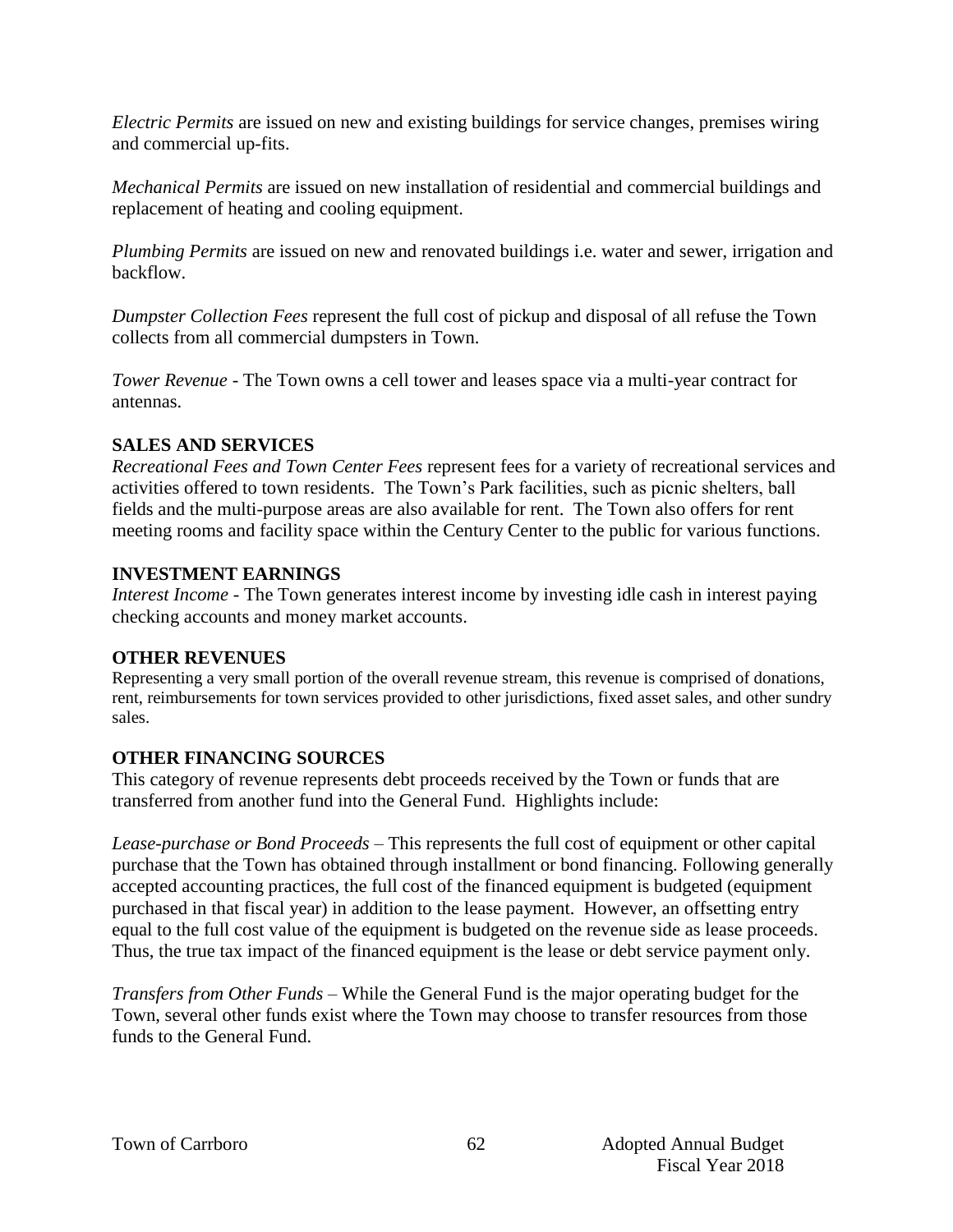*Electric Permits* are issued on new and existing buildings for service changes, premises wiring and commercial up-fits.

*Mechanical Permits* are issued on new installation of residential and commercial buildings and replacement of heating and cooling equipment.

*Plumbing Permits* are issued on new and renovated buildings i.e. water and sewer, irrigation and backflow.

*Dumpster Collection Fees* represent the full cost of pickup and disposal of all refuse the Town collects from all commercial dumpsters in Town.

*Tower Revenue* - The Town owns a cell tower and leases space via a multi-year contract for antennas.

#### **SALES AND SERVICES**

*Recreational Fees and Town Center Fees* represent fees for a variety of recreational services and activities offered to town residents. The Town's Park facilities, such as picnic shelters, ball fields and the multi-purpose areas are also available for rent. The Town also offers for rent meeting rooms and facility space within the Century Center to the public for various functions.

#### **INVESTMENT EARNINGS**

*Interest Income* - The Town generates interest income by investing idle cash in interest paying checking accounts and money market accounts.

#### **OTHER REVENUES**

Representing a very small portion of the overall revenue stream, this revenue is comprised of donations, rent, reimbursements for town services provided to other jurisdictions, fixed asset sales, and other sundry sales.

### **OTHER FINANCING SOURCES**

This category of revenue represents debt proceeds received by the Town or funds that are transferred from another fund into the General Fund. Highlights include:

*Lease-purchase or Bond Proceeds –* This represents the full cost of equipment or other capital purchase that the Town has obtained through installment or bond financing. Following generally accepted accounting practices, the full cost of the financed equipment is budgeted (equipment purchased in that fiscal year) in addition to the lease payment. However, an offsetting entry equal to the full cost value of the equipment is budgeted on the revenue side as lease proceeds. Thus, the true tax impact of the financed equipment is the lease or debt service payment only.

*Transfers from Other Funds –* While the General Fund is the major operating budget for the Town, several other funds exist where the Town may choose to transfer resources from those funds to the General Fund.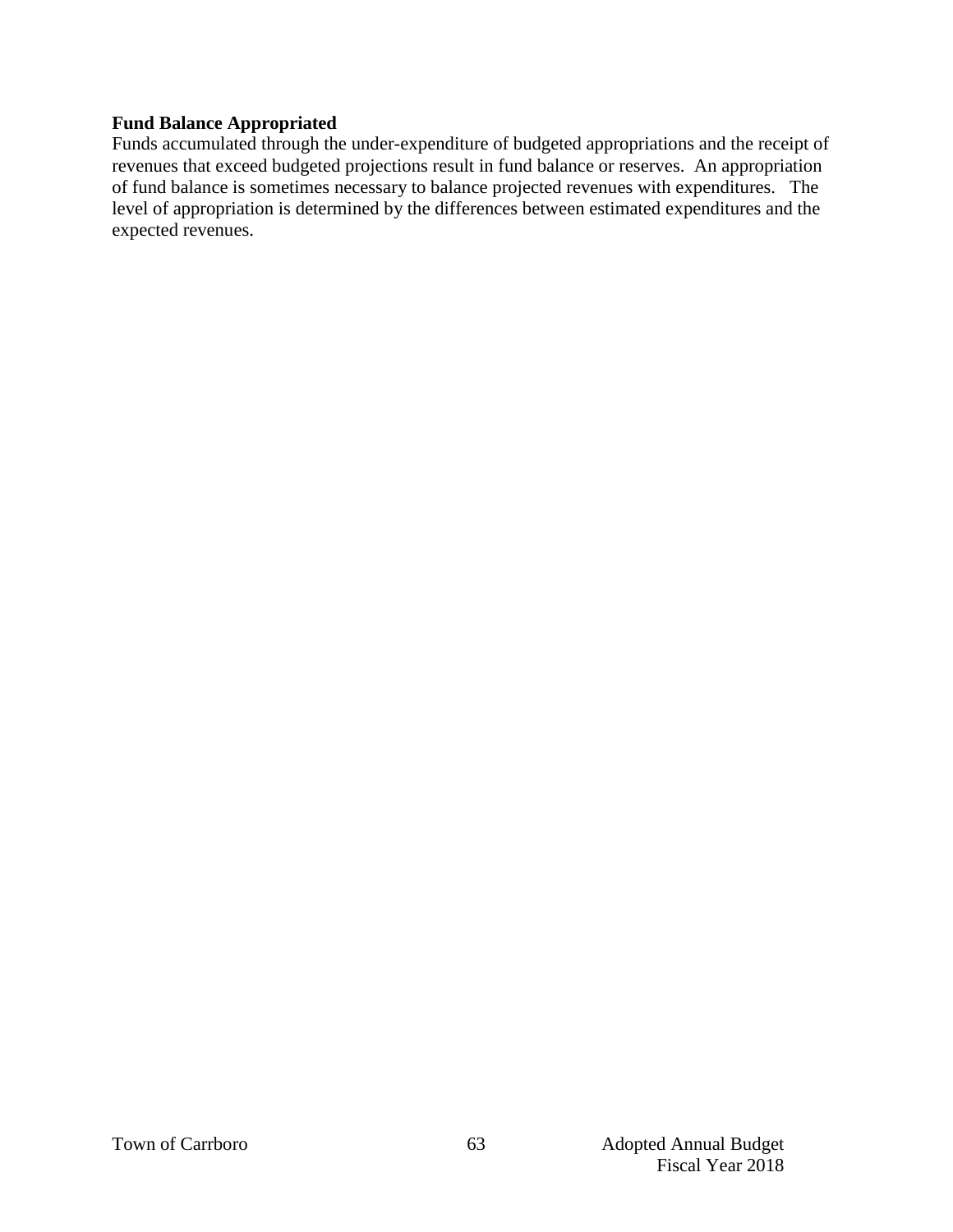#### **Fund Balance Appropriated**

Funds accumulated through the under-expenditure of budgeted appropriations and the receipt of revenues that exceed budgeted projections result in fund balance or reserves. An appropriation of fund balance is sometimes necessary to balance projected revenues with expenditures. The level of appropriation is determined by the differences between estimated expenditures and the expected revenues.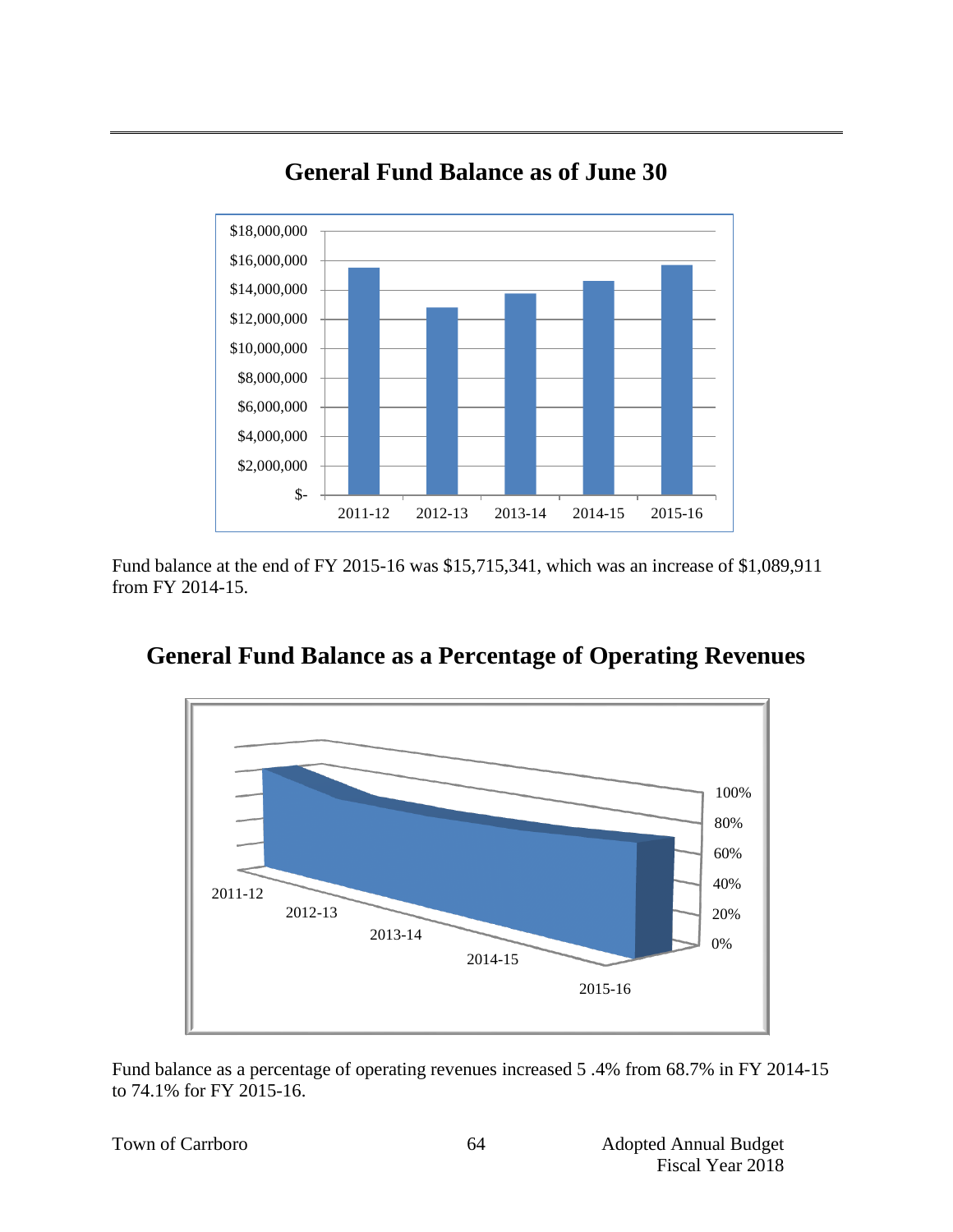

# **General Fund Balance as of June 30**

Fund balance at the end of FY 2015-16 was \$15,715,341, which was an increase of \$1,089,911 from FY 2014-15.



## **General Fund Balance as a Percentage of Operating Revenues**

Fund balance as a percentage of operating revenues increased 5 .4% from 68.7% in FY 2014-15 to 74.1% for FY 2015-16.